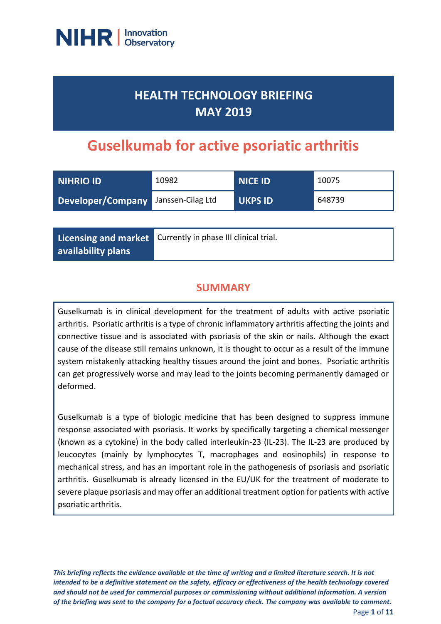

# **HEALTH TECHNOLOGY BRIEFING MAY 2019**

# **Guselkumab for active psoriatic arthritis**

| NIHRIO ID                           | 10982 | <b>NICE ID</b> | 10075  |
|-------------------------------------|-------|----------------|--------|
| Developer/Company Janssen-Cilag Ltd |       | <b>UKPS ID</b> | 648739 |

**Licensing and market availability plans**

Currently in phase III clinical trial.

### **SUMMARY**

Guselkumab is in clinical development for the treatment of adults with active psoriatic arthritis. Psoriatic arthritis is a type of chronic inflammatory arthritis affecting the joints and connective tissue and is associated with psoriasis of the skin or nails. Although the exact cause of the disease still remains unknown, it is thought to occur as a result of the immune system mistakenly attacking healthy tissues around the joint and bones. Psoriatic arthritis can get progressively worse and may lead to the joints becoming permanently damaged or deformed.

Guselkumab is a type of biologic medicine that has been designed to suppress immune response associated with psoriasis. It works by specifically targeting a chemical messenger (known as a cytokine) in the body called interleukin-23 (IL-23). The IL-23 are produced by leucocytes (mainly by lymphocytes T, macrophages and eosinophils) in response to mechanical stress, and has an important role in the pathogenesis of psoriasis and psoriatic arthritis. Guselkumab is already licensed in the EU/UK for the treatment of moderate to severe plaque psoriasis and may offer an additional treatment option for patients with active psoriatic arthritis.

*This briefing reflects the evidence available at the time of writing and a limited literature search. It is not intended to be a definitive statement on the safety, efficacy or effectiveness of the health technology covered and should not be used for commercial purposes or commissioning without additional information. A version of the briefing was sent to the company for a factual accuracy check. The company was available to comment.*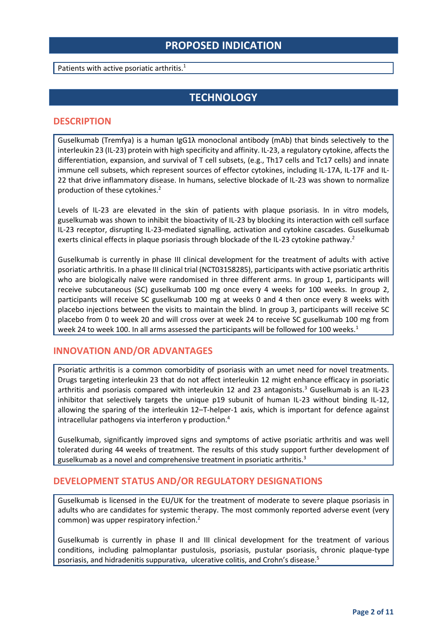### **PROPOSED INDICATION**

Patients with active psoriatic arthritis.<sup>1</sup>

### **TECHNOLOGY**

#### **DESCRIPTION**

Guselkumab (Tremfya) is a human IgG1λ monoclonal antibody (mAb) that binds selectively to the interleukin 23 (IL-23) protein with high specificity and affinity. IL-23, a regulatory cytokine, affects the differentiation, expansion, and survival of T cell subsets, (e.g., Th17 cells and Tc17 cells) and innate immune cell subsets, which represent sources of effector cytokines, including IL-17A, IL-17F and IL-22 that drive inflammatory disease. In humans, selective blockade of IL-23 was shown to normalize production of these cytokines.<sup>2</sup>

Levels of IL-23 are elevated in the skin of patients with plaque psoriasis. In in vitro models, guselkumab was shown to inhibit the bioactivity of IL-23 by blocking its interaction with cell surface IL-23 receptor, disrupting IL-23-mediated signalling, activation and cytokine cascades. Guselkumab exerts clinical effects in plaque psoriasis through blockade of the IL-23 cytokine pathway.<sup>2</sup>

Guselkumab is currently in phase III clinical development for the treatment of adults with active psoriatic arthritis. In a phase III clinical trial (NCT03158285), participants with active psoriatic arthritis who are biologically naïve were randomised in three different arms. In group 1, participants will receive subcutaneous (SC) guselkumab 100 mg once every 4 weeks for 100 weeks. In group 2, participants will receive SC guselkumab 100 mg at weeks 0 and 4 then once every 8 weeks with placebo injections between the visits to maintain the blind. In group 3, participants will receive SC placebo from 0 to week 20 and will cross over at week 24 to receive SC guselkumab 100 mg from week 24 to week 100. In all arms assessed the participants will be followed for 100 weeks.<sup>1</sup>

#### **INNOVATION AND/OR ADVANTAGES**

Psoriatic arthritis is a common comorbidity of psoriasis with an umet need for novel treatments. Drugs targeting interleukin 23 that do not affect interleukin 12 might enhance efficacy in psoriatic arthritis and psoriasis compared with interleukin 12 and 23 antagonists.<sup>3</sup> Guselkumab is an IL-23 inhibitor that selectively targets the unique p19 subunit of human IL-23 without binding IL-12, allowing the sparing of the interleukin 12–T-helper-1 axis, which is important for defence against intracellular pathogens via interferon  $\gamma$  production.<sup>4</sup>

Guselkumab, significantly improved signs and symptoms of active psoriatic arthritis and was well tolerated during 44 weeks of treatment. The results of this study support further development of guselkumab as a novel and comprehensive treatment in psoriatic arthritis.<sup>3</sup>

#### **DEVELOPMENT STATUS AND/OR REGULATORY DESIGNATIONS**

Guselkumab is licensed in the EU/UK for the treatment of moderate to severe plaque psoriasis in adults who are candidates for systemic therapy. The most commonly reported adverse event (very common) was upper respiratory infection.<sup>2</sup>

Guselkumab is currently in phase II and III clinical development for the treatment of various conditions, including palmoplantar pustulosis, psoriasis, pustular psoriasis, chronic plaque-type psoriasis, and hidradenitis suppurativa, ulcerative colitis, and Crohn's disease.5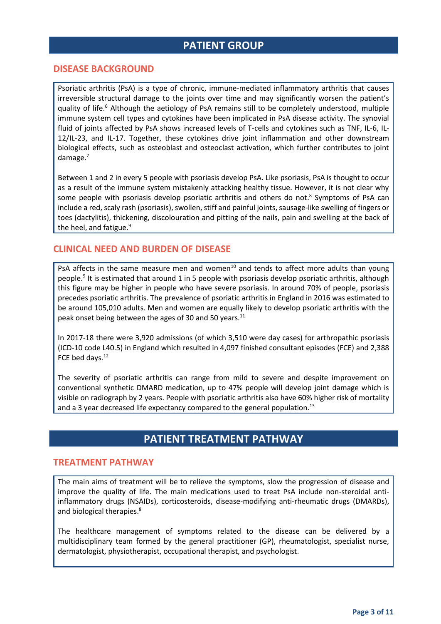### **PATIENT GROUP**

#### **DISEASE BACKGROUND**

Psoriatic arthritis (PsA) is a type of chronic, immune-mediated inflammatory arthritis that causes irreversible structural damage to the joints over time and may significantly worsen the patient's quality of life.<sup>6</sup> Although the aetiology of PsA remains still to be completely understood, multiple immune system cell types and cytokines have been implicated in PsA disease activity. The synovial fluid of joints affected by PsA shows increased levels of T-cells and cytokines such as TNF, IL-6, IL-12/IL-23, and IL-17. Together, these cytokines drive joint inflammation and other downstream biological effects, such as osteoblast and osteoclast activation, which further contributes to joint damage.<sup>7</sup>

Between 1 and 2 in every 5 people with psoriasis develop PsA. Like psoriasis, PsA is thought to occur as a result of the immune system mistakenly attacking healthy tissue. However, it is not clear why some people with psoriasis develop psoriatic arthritis and others do not.<sup>8</sup> Symptoms of PsA can include a red, scaly rash (psoriasis), swollen, stiff and painful joints, sausage-like swelling of fingers or toes (dactylitis), thickening, discolouration and pitting of the nails, pain and swelling at the back of the heel, and fatigue.<sup>9</sup>

#### **CLINICAL NEED AND BURDEN OF DISEASE**

PsA affects in the same measure men and women<sup>10</sup> and tends to affect more adults than young people.<sup>9</sup> It is estimated that around 1 in 5 people with psoriasis develop psoriatic arthritis, although this figure may be higher in people who have severe psoriasis. In around 70% of people, psoriasis precedes psoriatic arthritis. The prevalence of psoriatic arthritis in England in 2016 was estimated to be around 105,010 adults. Men and women are equally likely to develop psoriatic arthritis with the peak onset being between the ages of 30 and 50 years.<sup>11</sup>

In 2017-18 there were 3,920 admissions (of which 3,510 were day cases) for arthropathic psoriasis (ICD-10 code L40.5) in England which resulted in 4,097 finished consultant episodes (FCE) and 2,388 FCE bed days.<sup>12</sup>

The severity of psoriatic arthritis can range from mild to severe and despite improvement on conventional synthetic DMARD medication, up to 47% people will develop joint damage which is visible on radiograph by 2 years. People with psoriatic arthritis also have 60% higher risk of mortality and a 3 year decreased life expectancy compared to the general population.<sup>13</sup>

### **PATIENT TREATMENT PATHWAY**

#### **TREATMENT PATHWAY**

The main aims of treatment will be to relieve the symptoms, slow the progression of disease and improve the quality of life. The main medications used to treat PsA include non-steroidal antiinflammatory drugs (NSAIDs), corticosteroids, disease-modifying anti-rheumatic drugs (DMARDs), and biological therapies.<sup>8</sup>

The healthcare management of symptoms related to the disease can be delivered by a multidisciplinary team formed by the general practitioner (GP), rheumatologist, specialist nurse, dermatologist, physiotherapist, occupational therapist, and psychologist.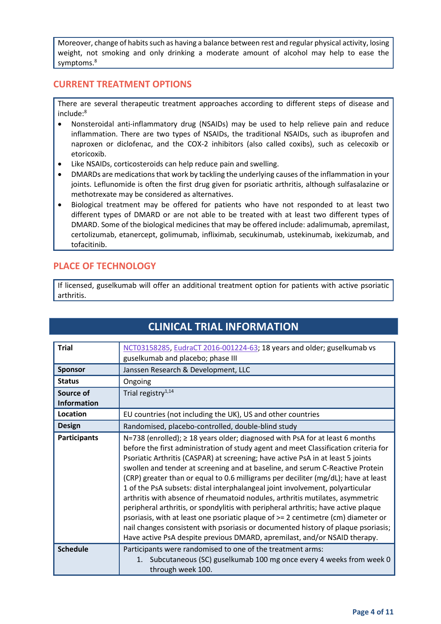Moreover, change of habits such as having a balance between rest and regular physical activity, losing weight, not smoking and only drinking a moderate amount of alcohol may help to ease the symptoms.<sup>8</sup>

### **CURRENT TREATMENT OPTIONS**

There are several therapeutic treatment approaches according to different steps of disease and include:<sup>8</sup>

- Nonsteroidal anti-inflammatory drug (NSAIDs) may be used to help relieve pain and reduce inflammation. There are two types of NSAIDs, the traditional NSAIDs, such as ibuprofen and naproxen or diclofenac, and the COX-2 inhibitors (also called coxibs), such as celecoxib or etoricoxib.
- Like NSAIDs, corticosteroids can help reduce pain and swelling.
- DMARDs are medications that work by tackling the underlying causes of the inflammation in your joints. Leflunomide is often the first drug given for psoriatic arthritis, although sulfasalazine or methotrexate may be considered as alternatives.
- Biological treatment may be offered for patients who have not responded to at least two different types of DMARD or are not able to be treated with at least two different types of DMARD. Some of the biological medicines that may be offered include: adalimumab, apremilast, certolizumab, etanercept, golimumab, infliximab, secukinumab, ustekinumab, ixekizumab, and tofacitinib.

### **PLACE OF TECHNOLOGY**

If licensed, guselkumab will offer an additional treatment option for patients with active psoriatic arthritis.

| <b>Trial</b>        | NCT03158285, EudraCT 2016-001224-63; 18 years and older; guselkumab vs                                                                                                                                                                                                                                                                                                                                                                                                                                                                                                                                                                                                                                                                                                                                                                                                                                                                            |
|---------------------|---------------------------------------------------------------------------------------------------------------------------------------------------------------------------------------------------------------------------------------------------------------------------------------------------------------------------------------------------------------------------------------------------------------------------------------------------------------------------------------------------------------------------------------------------------------------------------------------------------------------------------------------------------------------------------------------------------------------------------------------------------------------------------------------------------------------------------------------------------------------------------------------------------------------------------------------------|
|                     | guselkumab and placebo; phase III                                                                                                                                                                                                                                                                                                                                                                                                                                                                                                                                                                                                                                                                                                                                                                                                                                                                                                                 |
| <b>Sponsor</b>      | Janssen Research & Development, LLC                                                                                                                                                                                                                                                                                                                                                                                                                                                                                                                                                                                                                                                                                                                                                                                                                                                                                                               |
| <b>Status</b>       | Ongoing                                                                                                                                                                                                                                                                                                                                                                                                                                                                                                                                                                                                                                                                                                                                                                                                                                                                                                                                           |
| Source of           | Trial registry <sup>1,14</sup>                                                                                                                                                                                                                                                                                                                                                                                                                                                                                                                                                                                                                                                                                                                                                                                                                                                                                                                    |
| <b>Information</b>  |                                                                                                                                                                                                                                                                                                                                                                                                                                                                                                                                                                                                                                                                                                                                                                                                                                                                                                                                                   |
| Location            | EU countries (not including the UK), US and other countries                                                                                                                                                                                                                                                                                                                                                                                                                                                                                                                                                                                                                                                                                                                                                                                                                                                                                       |
| <b>Design</b>       | Randomised, placebo-controlled, double-blind study                                                                                                                                                                                                                                                                                                                                                                                                                                                                                                                                                                                                                                                                                                                                                                                                                                                                                                |
| <b>Participants</b> | N=738 (enrolled); $\geq$ 18 years older; diagnosed with PsA for at least 6 months<br>before the first administration of study agent and meet Classification criteria for<br>Psoriatic Arthritis (CASPAR) at screening; have active PsA in at least 5 joints<br>swollen and tender at screening and at baseline, and serum C-Reactive Protein<br>(CRP) greater than or equal to 0.6 milligrams per deciliter (mg/dL); have at least<br>1 of the PsA subsets: distal interphalangeal joint involvement, polyarticular<br>arthritis with absence of rheumatoid nodules, arthritis mutilates, asymmetric<br>peripheral arthritis, or spondylitis with peripheral arthritis; have active plaque<br>psoriasis, with at least one psoriatic plaque of >= 2 centimetre (cm) diameter or<br>nail changes consistent with psoriasis or documented history of plaque psoriasis;<br>Have active PsA despite previous DMARD, apremilast, and/or NSAID therapy. |
| <b>Schedule</b>     | Participants were randomised to one of the treatment arms:<br>Subcutaneous (SC) guselkumab 100 mg once every 4 weeks from week 0<br>1.<br>through week 100.                                                                                                                                                                                                                                                                                                                                                                                                                                                                                                                                                                                                                                                                                                                                                                                       |

## **CLINICAL TRIAL INFORMATION**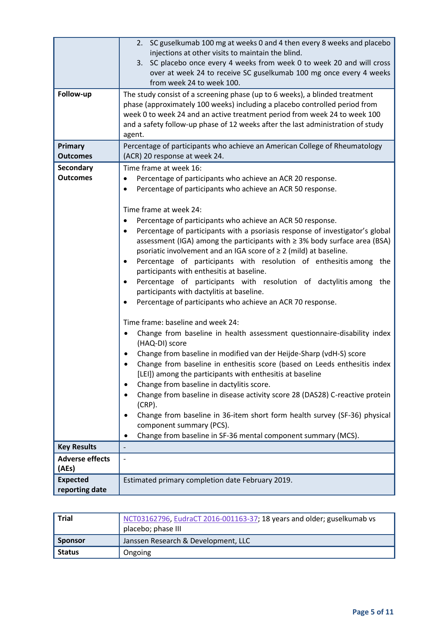| Follow-up                         | 2. SC guselkumab 100 mg at weeks 0 and 4 then every 8 weeks and placebo<br>injections at other visits to maintain the blind.<br>3. SC placebo once every 4 weeks from week 0 to week 20 and will cross<br>over at week 24 to receive SC guselkumab 100 mg once every 4 weeks<br>from week 24 to week 100.<br>The study consist of a screening phase (up to 6 weeks), a blinded treatment<br>phase (approximately 100 weeks) including a placebo controlled period from<br>week 0 to week 24 and an active treatment period from week 24 to week 100<br>and a safety follow-up phase of 12 weeks after the last administration of study<br>agent.                                                                                                                                                                                                                                                                                                                                                                                                                                                                                                                                                                                                                                                                                                                                                                          |
|-----------------------------------|---------------------------------------------------------------------------------------------------------------------------------------------------------------------------------------------------------------------------------------------------------------------------------------------------------------------------------------------------------------------------------------------------------------------------------------------------------------------------------------------------------------------------------------------------------------------------------------------------------------------------------------------------------------------------------------------------------------------------------------------------------------------------------------------------------------------------------------------------------------------------------------------------------------------------------------------------------------------------------------------------------------------------------------------------------------------------------------------------------------------------------------------------------------------------------------------------------------------------------------------------------------------------------------------------------------------------------------------------------------------------------------------------------------------------|
| Primary                           | Percentage of participants who achieve an American College of Rheumatology                                                                                                                                                                                                                                                                                                                                                                                                                                                                                                                                                                                                                                                                                                                                                                                                                                                                                                                                                                                                                                                                                                                                                                                                                                                                                                                                                |
| <b>Outcomes</b><br>Secondary      | (ACR) 20 response at week 24.<br>Time frame at week 16:                                                                                                                                                                                                                                                                                                                                                                                                                                                                                                                                                                                                                                                                                                                                                                                                                                                                                                                                                                                                                                                                                                                                                                                                                                                                                                                                                                   |
| <b>Outcomes</b>                   | Percentage of participants who achieve an ACR 20 response.<br>Percentage of participants who achieve an ACR 50 response.<br>٠<br>Time frame at week 24:<br>Percentage of participants who achieve an ACR 50 response.<br>$\bullet$<br>Percentage of participants with a psoriasis response of investigator's global<br>$\bullet$<br>assessment (IGA) among the participants with $\geq$ 3% body surface area (BSA)<br>psoriatic involvement and an IGA score of $\geq 2$ (mild) at baseline.<br>Percentage of participants with resolution of enthesitis among the<br>$\bullet$<br>participants with enthesitis at baseline.<br>Percentage of participants with resolution of dactylitis among the<br>٠<br>participants with dactylitis at baseline.<br>Percentage of participants who achieve an ACR 70 response.<br>Time frame: baseline and week 24:<br>Change from baseline in health assessment questionnaire-disability index<br>(HAQ-DI) score<br>Change from baseline in modified van der Heijde-Sharp (vdH-S) score<br>Change from baseline in enthesitis score (based on Leeds enthesitis index<br>[LEI]) among the participants with enthesitis at baseline<br>Change from baseline in dactylitis score.<br>Change from baseline in disease activity score 28 (DAS28) C-reactive protein<br>$(CRP)$ .<br>Change from baseline in 36-item short form health survey (SF-36) physical<br>component summary (PCS). |
| <b>Key Results</b>                | Change from baseline in SF-36 mental component summary (MCS).                                                                                                                                                                                                                                                                                                                                                                                                                                                                                                                                                                                                                                                                                                                                                                                                                                                                                                                                                                                                                                                                                                                                                                                                                                                                                                                                                             |
| <b>Adverse effects</b><br>(AEs)   | $\overline{\phantom{m}}$                                                                                                                                                                                                                                                                                                                                                                                                                                                                                                                                                                                                                                                                                                                                                                                                                                                                                                                                                                                                                                                                                                                                                                                                                                                                                                                                                                                                  |
| <b>Expected</b><br>reporting date | Estimated primary completion date February 2019.                                                                                                                                                                                                                                                                                                                                                                                                                                                                                                                                                                                                                                                                                                                                                                                                                                                                                                                                                                                                                                                                                                                                                                                                                                                                                                                                                                          |

| <b>Trial</b>   | NCT03162796, EudraCT 2016-001163-37; 18 years and older; guselkumab vs<br>placebo; phase III |
|----------------|----------------------------------------------------------------------------------------------|
| <b>Sponsor</b> | Janssen Research & Development, LLC                                                          |
| <b>Status</b>  | Ongoing                                                                                      |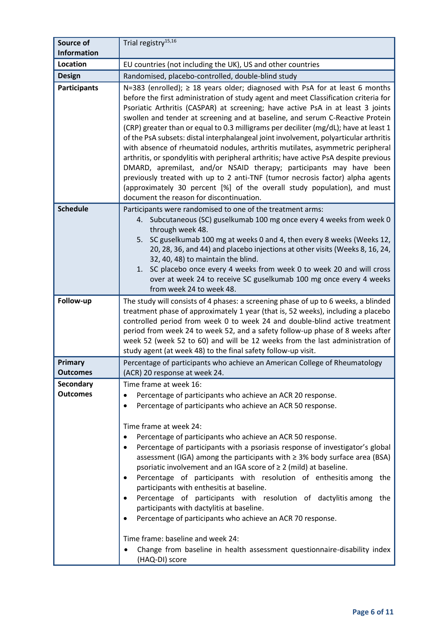| Source of                      | Trial registry <sup>15,16</sup>                                                                                                                                                                                                                                                                                                                                                                                                                                                                                                                                                                                                                                                                                                                                                                                                                                                                                                                                                          |
|--------------------------------|------------------------------------------------------------------------------------------------------------------------------------------------------------------------------------------------------------------------------------------------------------------------------------------------------------------------------------------------------------------------------------------------------------------------------------------------------------------------------------------------------------------------------------------------------------------------------------------------------------------------------------------------------------------------------------------------------------------------------------------------------------------------------------------------------------------------------------------------------------------------------------------------------------------------------------------------------------------------------------------|
| <b>Information</b><br>Location |                                                                                                                                                                                                                                                                                                                                                                                                                                                                                                                                                                                                                                                                                                                                                                                                                                                                                                                                                                                          |
|                                | EU countries (not including the UK), US and other countries                                                                                                                                                                                                                                                                                                                                                                                                                                                                                                                                                                                                                                                                                                                                                                                                                                                                                                                              |
| <b>Design</b>                  | Randomised, placebo-controlled, double-blind study                                                                                                                                                                                                                                                                                                                                                                                                                                                                                                                                                                                                                                                                                                                                                                                                                                                                                                                                       |
| <b>Participants</b>            | N=383 (enrolled); $\geq$ 18 years older; diagnosed with PsA for at least 6 months<br>before the first administration of study agent and meet Classification criteria for<br>Psoriatic Arthritis (CASPAR) at screening; have active PsA in at least 3 joints<br>swollen and tender at screening and at baseline, and serum C-Reactive Protein<br>(CRP) greater than or equal to 0.3 milligrams per deciliter (mg/dL); have at least 1<br>of the PsA subsets: distal interphalangeal joint involvement, polyarticular arthritis<br>with absence of rheumatoid nodules, arthritis mutilates, asymmetric peripheral<br>arthritis, or spondylitis with peripheral arthritis; have active PsA despite previous<br>DMARD, apremilast, and/or NSAID therapy; participants may have been<br>previously treated with up to 2 anti-TNF (tumor necrosis factor) alpha agents<br>(approximately 30 percent [%] of the overall study population), and must<br>document the reason for discontinuation. |
| <b>Schedule</b>                | Participants were randomised to one of the treatment arms:<br>4. Subcutaneous (SC) guselkumab 100 mg once every 4 weeks from week 0<br>through week 48.<br>5. SC guselkumab 100 mg at weeks 0 and 4, then every 8 weeks (Weeks 12,<br>20, 28, 36, and 44) and placebo injections at other visits (Weeks 8, 16, 24,<br>32, 40, 48) to maintain the blind.<br>1. SC placebo once every 4 weeks from week 0 to week 20 and will cross<br>over at week 24 to receive SC guselkumab 100 mg once every 4 weeks<br>from week 24 to week 48.                                                                                                                                                                                                                                                                                                                                                                                                                                                     |
| Follow-up                      | The study will consists of 4 phases: a screening phase of up to 6 weeks, a blinded<br>treatment phase of approximately 1 year (that is, 52 weeks), including a placebo<br>controlled period from week 0 to week 24 and double-blind active treatment<br>period from week 24 to week 52, and a safety follow-up phase of 8 weeks after<br>week 52 (week 52 to 60) and will be 12 weeks from the last administration of<br>study agent (at week 48) to the final safety follow-up visit.                                                                                                                                                                                                                                                                                                                                                                                                                                                                                                   |
|                                |                                                                                                                                                                                                                                                                                                                                                                                                                                                                                                                                                                                                                                                                                                                                                                                                                                                                                                                                                                                          |
| Primary<br><b>Outcomes</b>     | Percentage of participants who achieve an American College of Rheumatology<br>(ACR) 20 response at week 24.                                                                                                                                                                                                                                                                                                                                                                                                                                                                                                                                                                                                                                                                                                                                                                                                                                                                              |
| <b>Secondary</b>               | Time frame at week 16:                                                                                                                                                                                                                                                                                                                                                                                                                                                                                                                                                                                                                                                                                                                                                                                                                                                                                                                                                                   |
| <b>Outcomes</b>                | Percentage of participants who achieve an ACR 20 response.<br>Percentage of participants who achieve an ACR 50 response.<br>Time frame at week 24:<br>Percentage of participants who achieve an ACR 50 response.<br>Percentage of participants with a psoriasis response of investigator's global<br>assessment (IGA) among the participants with $\geq$ 3% body surface area (BSA)<br>psoriatic involvement and an IGA score of $\geq 2$ (mild) at baseline.<br>Percentage of participants with resolution of enthesitis among the<br>٠<br>participants with enthesitis at baseline.<br>Percentage of participants with resolution of dactylitis among<br>the<br>participants with dactylitis at baseline.                                                                                                                                                                                                                                                                              |
|                                | Percentage of participants who achieve an ACR 70 response.<br>Time frame: baseline and week 24:<br>Change from baseline in health assessment questionnaire-disability index<br>(HAQ-DI) score                                                                                                                                                                                                                                                                                                                                                                                                                                                                                                                                                                                                                                                                                                                                                                                            |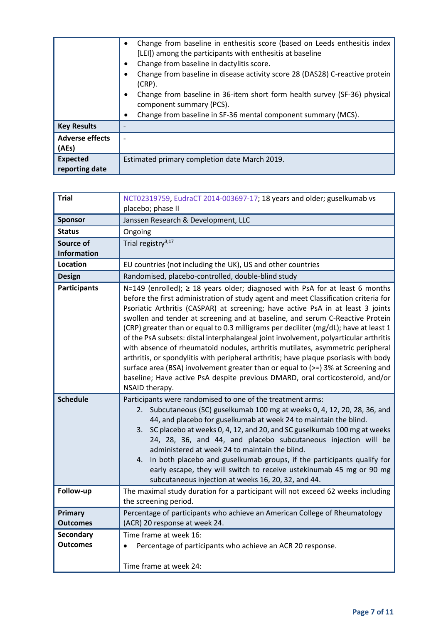|                                   | Change from baseline in enthesitis score (based on Leeds enthesitis index<br>[LEI]) among the participants with enthesitis at baseline<br>Change from baseline in dactylitis score.<br>Change from baseline in disease activity score 28 (DAS28) C-reactive protein<br>$(CRP)$ .<br>Change from baseline in 36-item short form health survey (SF-36) physical<br>component summary (PCS). |
|-----------------------------------|-------------------------------------------------------------------------------------------------------------------------------------------------------------------------------------------------------------------------------------------------------------------------------------------------------------------------------------------------------------------------------------------|
| <b>Key Results</b>                | Change from baseline in SF-36 mental component summary (MCS).                                                                                                                                                                                                                                                                                                                             |
| <b>Adverse effects</b><br>(AEs)   |                                                                                                                                                                                                                                                                                                                                                                                           |
| <b>Expected</b><br>reporting date | Estimated primary completion date March 2019.                                                                                                                                                                                                                                                                                                                                             |

| <b>Trial</b>                        | NCT02319759, EudraCT 2014-003697-17; 18 years and older; guselkumab vs                                                                                                                                                                                                                                                                                                                                                                                                                                                                                                                                                                                                                                                                                                                                                                                                                    |
|-------------------------------------|-------------------------------------------------------------------------------------------------------------------------------------------------------------------------------------------------------------------------------------------------------------------------------------------------------------------------------------------------------------------------------------------------------------------------------------------------------------------------------------------------------------------------------------------------------------------------------------------------------------------------------------------------------------------------------------------------------------------------------------------------------------------------------------------------------------------------------------------------------------------------------------------|
|                                     | placebo; phase II                                                                                                                                                                                                                                                                                                                                                                                                                                                                                                                                                                                                                                                                                                                                                                                                                                                                         |
| <b>Sponsor</b>                      | Janssen Research & Development, LLC                                                                                                                                                                                                                                                                                                                                                                                                                                                                                                                                                                                                                                                                                                                                                                                                                                                       |
| <b>Status</b>                       | Ongoing                                                                                                                                                                                                                                                                                                                                                                                                                                                                                                                                                                                                                                                                                                                                                                                                                                                                                   |
| Source of<br><b>Information</b>     | Trial registry <sup>3,17</sup>                                                                                                                                                                                                                                                                                                                                                                                                                                                                                                                                                                                                                                                                                                                                                                                                                                                            |
| <b>Location</b>                     | EU countries (not including the UK), US and other countries                                                                                                                                                                                                                                                                                                                                                                                                                                                                                                                                                                                                                                                                                                                                                                                                                               |
| Design                              | Randomised, placebo-controlled, double-blind study                                                                                                                                                                                                                                                                                                                                                                                                                                                                                                                                                                                                                                                                                                                                                                                                                                        |
| <b>Participants</b>                 | N=149 (enrolled); ≥ 18 years older; diagnosed with PsA for at least 6 months<br>before the first administration of study agent and meet Classification criteria for<br>Psoriatic Arthritis (CASPAR) at screening; have active PsA in at least 3 joints<br>swollen and tender at screening and at baseline, and serum C-Reactive Protein<br>(CRP) greater than or equal to 0.3 milligrams per deciliter (mg/dL); have at least 1<br>of the PsA subsets: distal interphalangeal joint involvement, polyarticular arthritis<br>with absence of rheumatoid nodules, arthritis mutilates, asymmetric peripheral<br>arthritis, or spondylitis with peripheral arthritis; have plaque psoriasis with body<br>surface area (BSA) involvement greater than or equal to (>=) 3% at Screening and<br>baseline; Have active PsA despite previous DMARD, oral corticosteroid, and/or<br>NSAID therapy. |
| <b>Schedule</b>                     | Participants were randomised to one of the treatment arms:<br>2. Subcutaneous (SC) guselkumab 100 mg at weeks 0, 4, 12, 20, 28, 36, and<br>44, and placebo for guselkumab at week 24 to maintain the blind.<br>3. SC placebo at weeks 0, 4, 12, and 20, and SC guselkumab 100 mg at weeks<br>24, 28, 36, and 44, and placebo subcutaneous injection will be<br>administered at week 24 to maintain the blind.<br>4. In both placebo and guselkumab groups, if the participants qualify for<br>early escape, they will switch to receive ustekinumab 45 mg or 90 mg<br>subcutaneous injection at weeks 16, 20, 32, and 44.                                                                                                                                                                                                                                                                 |
| Follow-up                           | The maximal study duration for a participant will not exceed 62 weeks including<br>the screening period.                                                                                                                                                                                                                                                                                                                                                                                                                                                                                                                                                                                                                                                                                                                                                                                  |
| Primary<br>Outcomes                 | Percentage of participants who achieve an American College of Rheumatology<br>(ACR) 20 response at week 24.                                                                                                                                                                                                                                                                                                                                                                                                                                                                                                                                                                                                                                                                                                                                                                               |
| <b>Secondary</b><br><b>Outcomes</b> | Time frame at week 16:<br>Percentage of participants who achieve an ACR 20 response.<br>Time frame at week 24:                                                                                                                                                                                                                                                                                                                                                                                                                                                                                                                                                                                                                                                                                                                                                                            |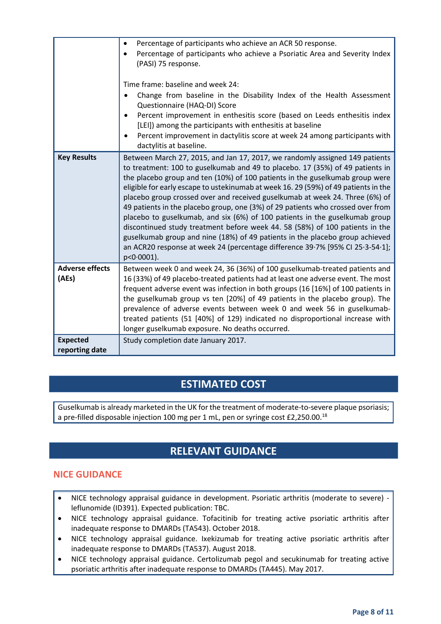|                                   | Percentage of participants who achieve an ACR 50 response.<br>Percentage of participants who achieve a Psoriatic Area and Severity Index<br>(PASI) 75 response.<br>Time frame: baseline and week 24:<br>Change from baseline in the Disability Index of the Health Assessment<br>Questionnaire (HAQ-DI) Score<br>Percent improvement in enthesitis score (based on Leeds enthesitis index<br>[LEI]) among the participants with enthesitis at baseline<br>Percent improvement in dactylitis score at week 24 among participants with<br>dactylitis at baseline.                                                                                                                                                                                                                                                                                           |
|-----------------------------------|-----------------------------------------------------------------------------------------------------------------------------------------------------------------------------------------------------------------------------------------------------------------------------------------------------------------------------------------------------------------------------------------------------------------------------------------------------------------------------------------------------------------------------------------------------------------------------------------------------------------------------------------------------------------------------------------------------------------------------------------------------------------------------------------------------------------------------------------------------------|
| <b>Key Results</b>                | Between March 27, 2015, and Jan 17, 2017, we randomly assigned 149 patients<br>to treatment: 100 to guselkumab and 49 to placebo. 17 (35%) of 49 patients in<br>the placebo group and ten (10%) of 100 patients in the guselkumab group were<br>eligible for early escape to ustekinumab at week 16. 29 (59%) of 49 patients in the<br>placebo group crossed over and received guselkumab at week 24. Three (6%) of<br>49 patients in the placebo group, one (3%) of 29 patients who crossed over from<br>placebo to guselkumab, and six (6%) of 100 patients in the guselkumab group<br>discontinued study treatment before week 44. 58 (58%) of 100 patients in the<br>guselkumab group and nine (18%) of 49 patients in the placebo group achieved<br>an ACR20 response at week 24 (percentage difference 39.7% [95% CI 25.3-54.1];<br>$p < 0.0001$ ). |
| <b>Adverse effects</b><br>(AEs)   | Between week 0 and week 24, 36 (36%) of 100 guselkumab-treated patients and<br>16 (33%) of 49 placebo-treated patients had at least one adverse event. The most<br>frequent adverse event was infection in both groups (16 [16%] of 100 patients in<br>the guselkumab group vs ten [20%] of 49 patients in the placebo group). The<br>prevalence of adverse events between week 0 and week 56 in guselkumab-<br>treated patients (51 [40%] of 129) indicated no disproportional increase with<br>longer guselkumab exposure. No deaths occurred.                                                                                                                                                                                                                                                                                                          |
| <b>Expected</b><br>reporting date | Study completion date January 2017.                                                                                                                                                                                                                                                                                                                                                                                                                                                                                                                                                                                                                                                                                                                                                                                                                       |

### **ESTIMATED COST**

Guselkumab is already marketed in the UK for the treatment of moderate-to-severe plaque psoriasis; a pre-filled disposable injection 100 mg per 1 mL, pen or syringe cost £2,250.00.<sup>18</sup>

## **RELEVANT GUIDANCE**

### **NICE GUIDANCE**

- NICE technology appraisal guidance in development. Psoriatic arthritis (moderate to severe) leflunomide (ID391). Expected publication: TBC.
- NICE technology appraisal guidance. Tofacitinib for treating active psoriatic arthritis after inadequate response to DMARDs (TA543). October 2018.
- NICE technology appraisal guidance. Ixekizumab for treating active psoriatic arthritis after inadequate response to DMARDs (TA537). August 2018.
- NICE technology appraisal guidance. Certolizumab pegol and secukinumab for treating active psoriatic arthritis after inadequate response to DMARDs (TA445). May 2017.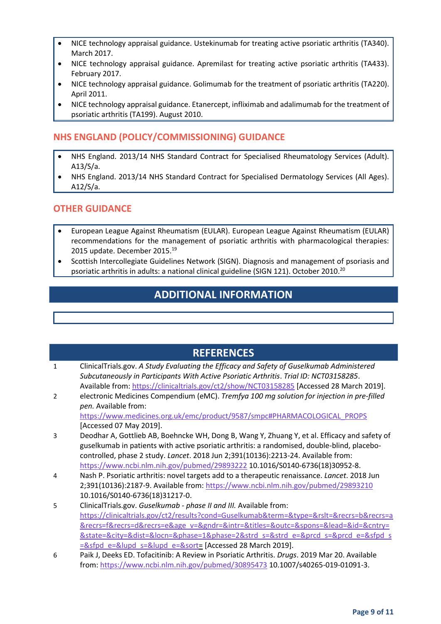- NICE technology appraisal guidance. Ustekinumab for treating active psoriatic arthritis (TA340). March 2017.
- NICE technology appraisal guidance. Apremilast for treating active psoriatic arthritis (TA433). February 2017.
- NICE technology appraisal guidance. Golimumab for the treatment of psoriatic arthritis (TA220). April 2011.
- NICE technology appraisal guidance. Etanercept, infliximab and adalimumab for the treatment of psoriatic arthritis (TA199). August 2010.

### **NHS ENGLAND (POLICY/COMMISSIONING) GUIDANCE**

- NHS England. 2013/14 NHS Standard Contract for Specialised Rheumatology Services (Adult). A13/S/a.
- NHS England. 2013/14 NHS Standard Contract for Specialised Dermatology Services (All Ages). A12/S/a.

#### **OTHER GUIDANCE**

- European League Against Rheumatism (EULAR). European League Against Rheumatism (EULAR) recommendations for the management of psoriatic arthritis with pharmacological therapies: 2015 update. December 2015.<sup>19</sup>
- Scottish Intercollegiate Guidelines Network (SIGN). Diagnosis and management of psoriasis and psoriatic arthritis in adults: a national clinical guideline (SIGN 121). October 2010.<sup>20</sup>

### **ADDITIONAL INFORMATION**

### **REFERENCES**

| ClinicalTrials.gov. A Study Evaluating the Efficacy and Safety of Guselkumab Administered |
|-------------------------------------------------------------------------------------------|
| Subcutaneously in Participants With Active Psoriatic Arthritis. Trial ID: NCT03158285.    |
| Available from: https://clinicaltrials.gov/ct2/show/NCT03158285 [Accessed 28 March 2019]. |

2 electronic Medicines Compendium (eMC). *Tremfya 100 mg solution for injection in pre-filled pen.* Available from: [https://www.medicines.org.uk/emc/product/9587/smpc#PHARMACOLOGICAL\\_PROPS](https://www.medicines.org.uk/emc/product/9587/smpc#PHARMACOLOGICAL_PROPS)

[Accessed 07 May 2019].

- 3 Deodhar A, Gottlieb AB, Boehncke WH, Dong B, Wang Y, Zhuang Y, et al. Efficacy and safety of guselkumab in patients with active psoriatic arthritis: a randomised, double-blind, placebocontrolled, phase 2 study. *Lancet*. 2018 Jun 2;391(10136):2213-24. Available from: <https://www.ncbi.nlm.nih.gov/pubmed/29893222> 10.1016/S0140-6736(18)30952-8.
- 4 Nash P. Psoriatic arthritis: novel targets add to a therapeutic renaissance. *Lancet*. 2018 Jun 2;391(10136):2187-9. Available from[: https://www.ncbi.nlm.nih.gov/pubmed/29893210](https://www.ncbi.nlm.nih.gov/pubmed/29893210) 10.1016/S0140-6736(18)31217-0.
- 5 ClinicalTrials.gov. *Guselkumab - phase II and III.* Available from: [https://clinicaltrials.gov/ct2/results?cond=Guselkumab&term=&type=&rslt=&recrs=b&recrs=a](https://clinicaltrials.gov/ct2/results?cond=Guselkumab&term=&type=&rslt=&recrs=b&recrs=a&recrs=f&recrs=d&recrs=e&age_v=&gndr=&intr=&titles=&outc=&spons=&lead=&id=&cntry=&state=&city=&dist=&locn=&phase=1&phase=2&strd_s=&strd_e=&prcd_s=&prcd_e=&sfpd_s=&sfpd_e=&lupd_s=&lupd_e=&sort) [&recrs=f&recrs=d&recrs=e&age\\_v=&gndr=&intr=&titles=&outc=&spons=&lead=&id=&cntry=](https://clinicaltrials.gov/ct2/results?cond=Guselkumab&term=&type=&rslt=&recrs=b&recrs=a&recrs=f&recrs=d&recrs=e&age_v=&gndr=&intr=&titles=&outc=&spons=&lead=&id=&cntry=&state=&city=&dist=&locn=&phase=1&phase=2&strd_s=&strd_e=&prcd_s=&prcd_e=&sfpd_s=&sfpd_e=&lupd_s=&lupd_e=&sort) [&state=&city=&dist=&locn=&phase=1&phase=2&strd\\_s=&strd\\_e=&prcd\\_s=&prcd\\_e=&sfpd\\_s](https://clinicaltrials.gov/ct2/results?cond=Guselkumab&term=&type=&rslt=&recrs=b&recrs=a&recrs=f&recrs=d&recrs=e&age_v=&gndr=&intr=&titles=&outc=&spons=&lead=&id=&cntry=&state=&city=&dist=&locn=&phase=1&phase=2&strd_s=&strd_e=&prcd_s=&prcd_e=&sfpd_s=&sfpd_e=&lupd_s=&lupd_e=&sort) [=&sfpd\\_e=&lupd\\_s=&lupd\\_e=&sort=](https://clinicaltrials.gov/ct2/results?cond=Guselkumab&term=&type=&rslt=&recrs=b&recrs=a&recrs=f&recrs=d&recrs=e&age_v=&gndr=&intr=&titles=&outc=&spons=&lead=&id=&cntry=&state=&city=&dist=&locn=&phase=1&phase=2&strd_s=&strd_e=&prcd_s=&prcd_e=&sfpd_s=&sfpd_e=&lupd_s=&lupd_e=&sort) [Accessed 28 March 2019].
- 6 Paik J, Deeks ED. Tofacitinib: A Review in Psoriatic Arthritis. *Drugs*. 2019 Mar 20. Available from:<https://www.ncbi.nlm.nih.gov/pubmed/30895473> 10.1007/s40265-019-01091-3.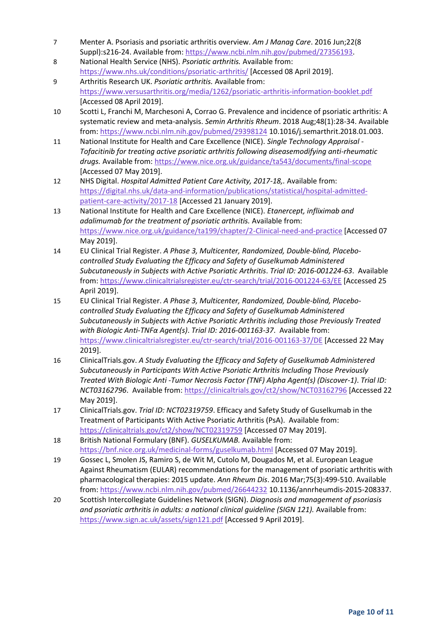- 7 Menter A. Psoriasis and psoriatic arthritis overview. *Am J Manag Care*. 2016 Jun;22(8 Suppl):s216-24. Available from[: https://www.ncbi.nlm.nih.gov/pubmed/27356193.](https://www.ncbi.nlm.nih.gov/pubmed/27356193)
- 8 National Health Service (NHS). *Psoriatic arthritis.* Available from: <https://www.nhs.uk/conditions/psoriatic-arthritis/> [Accessed 08 April 2019].
- 9 Arthritis Research UK. *Psoriatic arthritis.* Available from: <https://www.versusarthritis.org/media/1262/psoriatic-arthritis-information-booklet.pdf> [Accessed 08 April 2019].
- 10 Scotti L, Franchi M, Marchesoni A, Corrao G. Prevalence and incidence of psoriatic arthritis: A systematic review and meta-analysis. *Semin Arthritis Rheum*. 2018 Aug;48(1):28-34. Available from:<https://www.ncbi.nlm.nih.gov/pubmed/29398124> 10.1016/j.semarthrit.2018.01.003.
- 11 National Institute for Health and Care Excellence (NICE). *Single Technology Appraisal - Tofacitinib for treating active psoriatic arthritis following diseasemodifying anti-rheumatic drugs.* Available from[: https://www.nice.org.uk/guidance/ta543/documents/final-scope](https://www.nice.org.uk/guidance/ta543/documents/final-scope) [Accessed 07 May 2019].
- 12 NHS Digital. *Hospital Admitted Patient Care Activity, 2017-18,.* Available from: [https://digital.nhs.uk/data-and-information/publications/statistical/hospital-admitted](https://digital.nhs.uk/data-and-information/publications/statistical/hospital-admitted-patient-care-activity/2017-18)[patient-care-activity/2017-18](https://digital.nhs.uk/data-and-information/publications/statistical/hospital-admitted-patient-care-activity/2017-18) [Accessed 21 January 2019].
- 13 National Institute for Health and Care Excellence (NICE). *Etanercept, infliximab and adalimumab for the treatment of psoriatic arthritis.* Available from: <https://www.nice.org.uk/guidance/ta199/chapter/2-Clinical-need-and-practice> [Accessed 07 May 2019].
- 14 EU Clinical Trial Register. *A Phase 3, Multicenter, Randomized, Double-blind, Placebocontrolled Study Evaluating the Efficacy and Safety of Guselkumab Administered Subcutaneously in Subjects with Active Psoriatic Arthritis*. *Trial ID: 2016-001224-63*. Available from:<https://www.clinicaltrialsregister.eu/ctr-search/trial/2016-001224-63/EE> [Accessed 25 April 2019].
- 15 EU Clinical Trial Register. *A Phase 3, Multicenter, Randomized, Double-blind, Placebocontrolled Study Evaluating the Efficacy and Safety of Guselkumab Administered Subcutaneously in Subjects with Active Psoriatic Arthritis including those Previously Treated with Biologic Anti-TNFα Agent(s)*. *Trial ID: 2016-001163-37*. Available from: <https://www.clinicaltrialsregister.eu/ctr-search/trial/2016-001163-37/DE> [Accessed 22 May 2019].
- 16 ClinicalTrials.gov. *A Study Evaluating the Efficacy and Safety of Guselkumab Administered Subcutaneously in Participants With Active Psoriatic Arthritis Including Those Previously Treated With Biologic Anti -Tumor Necrosis Factor (TNF) Alpha Agent(s) (Discover-1)*. *Trial ID: NCT03162796*. Available from:<https://clinicaltrials.gov/ct2/show/NCT03162796> [Accessed 22 May 2019].
- 17 ClinicalTrials.gov. *Trial ID: NCT02319759*. Efficacy and Safety Study of Guselkumab in the Treatment of Participants With Active Psoriatic Arthritis (PsA). Available from: <https://clinicaltrials.gov/ct2/show/NCT02319759> [Accessed 07 May 2019].
- 18 British National Formulary (BNF). *GUSELKUMAB.* Available from: <https://bnf.nice.org.uk/medicinal-forms/guselkumab.html> [Accessed 07 May 2019].
- 19 Gossec L, Smolen JS, Ramiro S, de Wit M, Cutolo M, Dougados M, et al. European League Against Rheumatism (EULAR) recommendations for the management of psoriatic arthritis with pharmacological therapies: 2015 update. *Ann Rheum Dis*. 2016 Mar;75(3):499-510. Available from:<https://www.ncbi.nlm.nih.gov/pubmed/26644232> 10.1136/annrheumdis-2015-208337.
- 20 Scottish Intercollegiate Guidelines Network (SIGN). *Diagnosis and management of psoriasis and psoriatic arthritis in adults: a national clinical guideline (SIGN 121).* Available from: <https://www.sign.ac.uk/assets/sign121.pdf> [Accessed 9 April 2019].